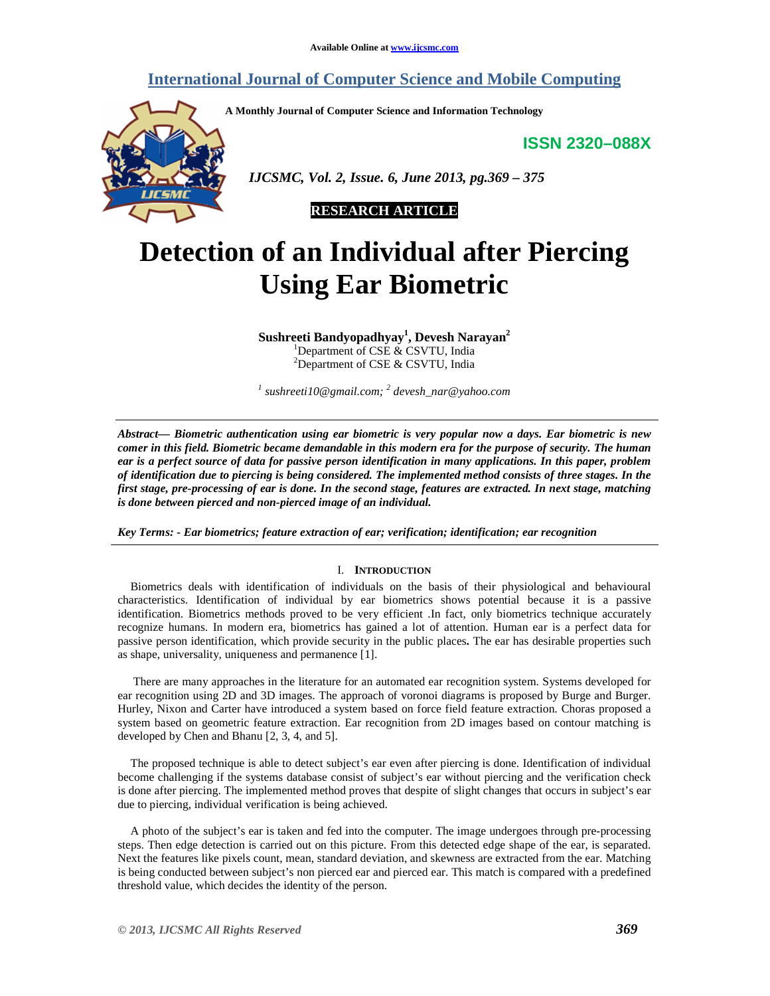# **International Journal of Computer Science and Mobile Computing**

**A Monthly Journal of Computer Science and Information Technology** 

**ISSN 2320–088X**



 *IJCSMC, Vol. 2, Issue. 6, June 2013, pg.369 – 375* 

**RESEARCH ARTICLE** 

# **Detection of an Individual after Piercing Using Ear Biometric**

**Sushreeti Bandyopadhyay<sup>1</sup> , Devesh Narayan<sup>2</sup>** <sup>1</sup>Department of CSE & CSVTU, India <sup>2</sup>Department of CSE  $&$  CSVTU, India

*1 sushreeti10@gmail.com; <sup>2</sup> devesh\_nar@yahoo.com* 

*Abstract— Biometric authentication using ear biometric is very popular now a days. Ear biometric is new comer in this field. Biometric became demandable in this modern era for the purpose of security. The human ear is a perfect source of data for passive person identification in many applications. In this paper, problem of identification due to piercing is being considered. The implemented method consists of three stages. In the first stage, pre-processing of ear is done. In the second stage, features are extracted. In next stage, matching is done between pierced and non-pierced image of an individual.* 

*Key Terms: - Ear biometrics; feature extraction of ear; verification; identification; ear recognition* 

#### I. **INTRODUCTION**

Biometrics deals with identification of individuals on the basis of their physiological and behavioural characteristics. Identification of individual by ear biometrics shows potential because it is a passive identification. Biometrics methods proved to be very efficient .In fact, only biometrics technique accurately recognize humans. In modern era, biometrics has gained a lot of attention. Human ear is a perfect data for passive person identification, which provide security in the public places**.** The ear has desirable properties such as shape, universality, uniqueness and permanence [1].

 There are many approaches in the literature for an automated ear recognition system. Systems developed for ear recognition using 2D and 3D images. The approach of voronoi diagrams is proposed by Burge and Burger. Hurley, Nixon and Carter have introduced a system based on force field feature extraction. Choras proposed a system based on geometric feature extraction. Ear recognition from 2D images based on contour matching is developed by Chen and Bhanu [2, 3, 4, and 5].

The proposed technique is able to detect subject's ear even after piercing is done. Identification of individual become challenging if the systems database consist of subject's ear without piercing and the verification check is done after piercing. The implemented method proves that despite of slight changes that occurs in subject's ear due to piercing, individual verification is being achieved.

A photo of the subject's ear is taken and fed into the computer. The image undergoes through pre-processing steps. Then edge detection is carried out on this picture. From this detected edge shape of the ear, is separated. Next the features like pixels count, mean, standard deviation, and skewness are extracted from the ear. Matching is being conducted between subject's non pierced ear and pierced ear. This match is compared with a predefined threshold value, which decides the identity of the person.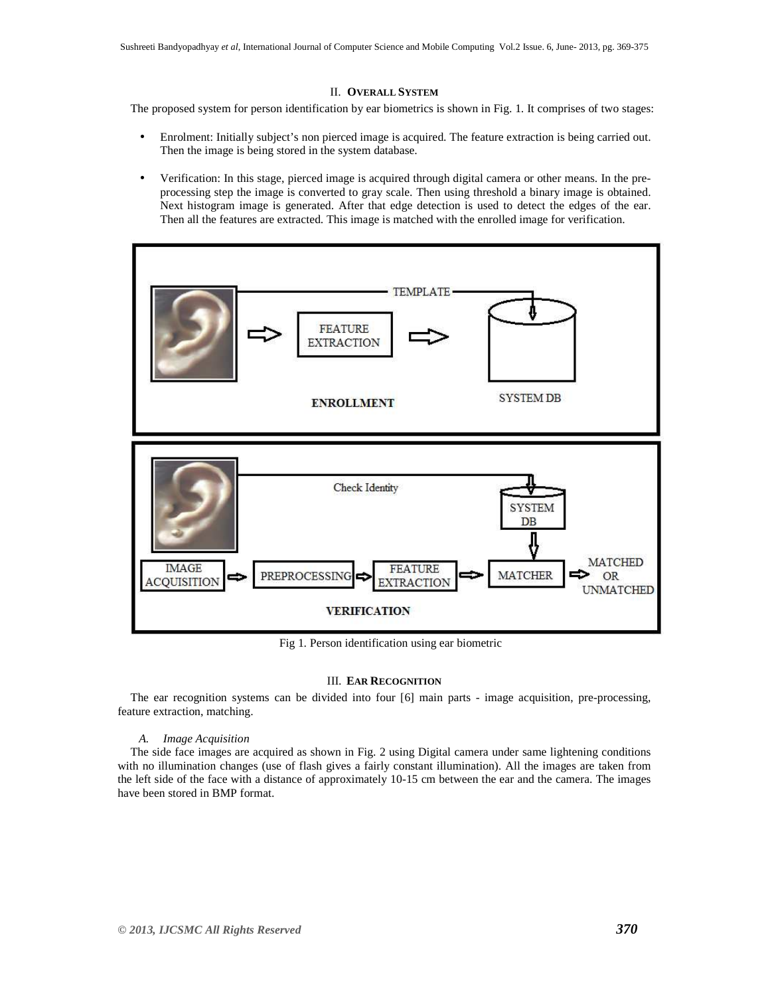### II. **OVERALL SYSTEM**

The proposed system for person identification by ear biometrics is shown in Fig. 1. It comprises of two stages:

- Enrolment: Initially subject's non pierced image is acquired. The feature extraction is being carried out. Then the image is being stored in the system database.
- Verification: In this stage, pierced image is acquired through digital camera or other means. In the preprocessing step the image is converted to gray scale. Then using threshold a binary image is obtained. Next histogram image is generated. After that edge detection is used to detect the edges of the ear. Then all the features are extracted. This image is matched with the enrolled image for verification.



Fig 1. Person identification using ear biometric

#### III. **EAR RECOGNITION**

The ear recognition systems can be divided into four [6] main parts - image acquisition, pre-processing, feature extraction, matching.

#### *A. Image Acquisition*

The side face images are acquired as shown in Fig. 2 using Digital camera under same lightening conditions with no illumination changes (use of flash gives a fairly constant illumination). All the images are taken from the left side of the face with a distance of approximately 10-15 cm between the ear and the camera. The images have been stored in BMP format.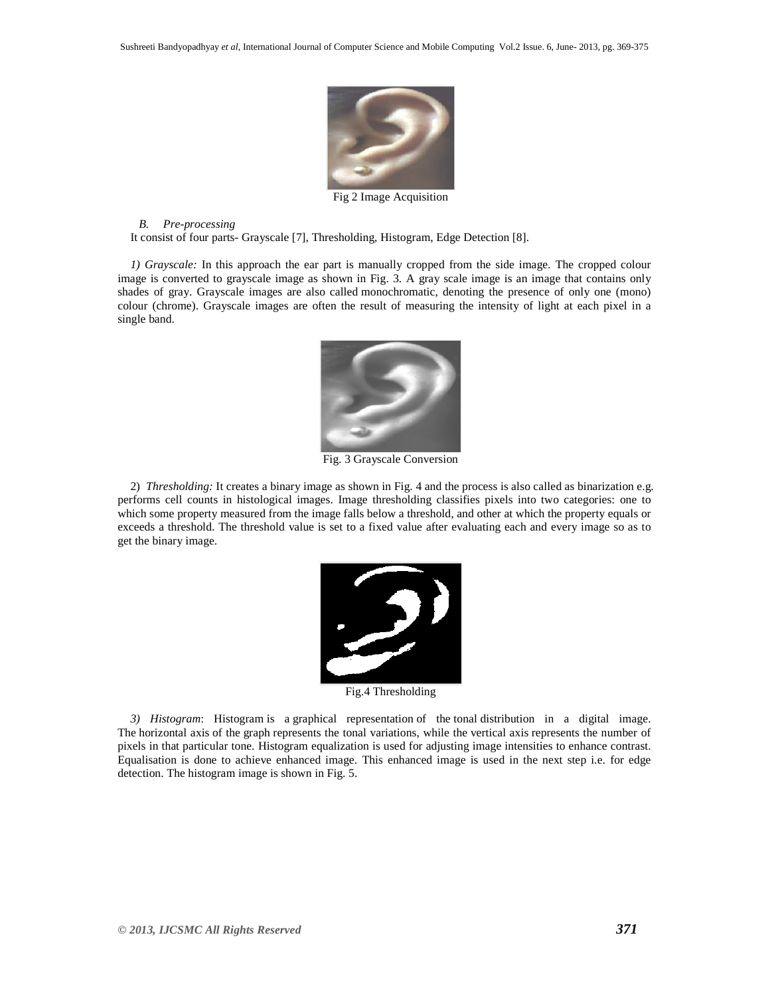

Fig 2 Image Acquisition

# *B. Pre-processing*

It consist of four parts- Grayscale [7], Thresholding, Histogram, Edge Detection [8].

*1) Grayscale:* In this approach the ear part is manually cropped from the side image. The cropped colour image is converted to grayscale image as shown in Fig. 3. A gray scale image is an image that contains only shades of gray. Grayscale images are also called monochromatic, denoting the presence of only one (mono) colour (chrome). Grayscale images are often the result of measuring the intensity of light at each pixel in a single band.



Fig. 3 Grayscale Conversion

2) *Thresholding:* It creates a binary image as shown in Fig. 4 and the process is also called as binarization e.g. performs cell counts in histological images. Image thresholding classifies pixels into two categories: one to which some property measured from the image falls below a threshold, and other at which the property equals or exceeds a threshold. The threshold value is set to a fixed value after evaluating each and every image so as to get the binary image.



Fig.4 Thresholding

*3) Histogram*: Histogram is a graphical representation of the tonal distribution in a digital image. The horizontal axis of the graph represents the tonal variations, while the vertical axis represents the number of pixels in that particular tone. Histogram equalization is used for adjusting image intensities to enhance contrast. Equalisation is done to achieve enhanced image. This enhanced image is used in the next step i.e. for edge detection. The histogram image is shown in Fig. 5.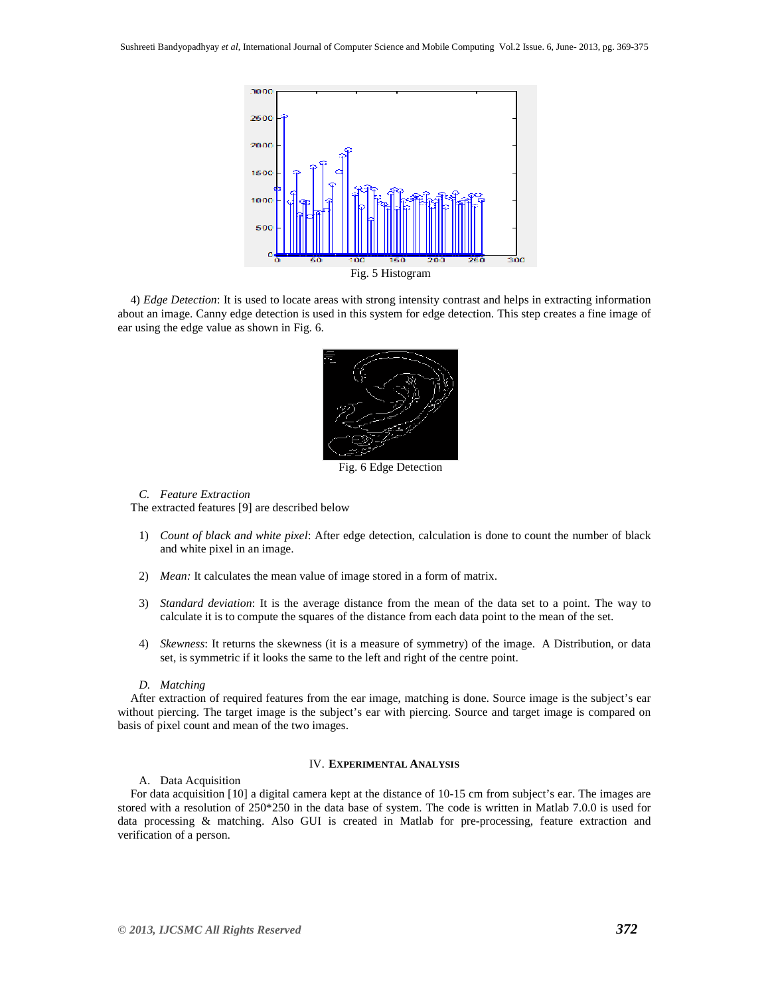

4) *Edge Detection*: It is used to locate areas with strong intensity contrast and helps in extracting information about an image. Canny edge detection is used in this system for edge detection. This step creates a fine image of ear using the edge value as shown in Fig. 6.



Fig. 6 Edge Detection

## *C. Feature Extraction*

The extracted features [9] are described below

- 1) *Count of black and white pixel*: After edge detection, calculation is done to count the number of black and white pixel in an image.
- 2) *Mean:* It calculates the mean value of image stored in a form of matrix.
- 3) *Standard deviation*: It is the average distance from the mean of the data set to a point. The way to calculate it is to compute the squares of the distance from each data point to the mean of the set.
- 4) *Skewness*: It returns the skewness (it is a measure of symmetry) of the image. A Distribution, or data set, is symmetric if it looks the same to the left and right of the centre point.
- *D. Matching*

After extraction of required features from the ear image, matching is done. Source image is the subject's ear without piercing. The target image is the subject's ear with piercing. Source and target image is compared on basis of pixel count and mean of the two images.

#### IV. **EXPERIMENTAL ANALYSIS**

# A. Data Acquisition

For data acquisition [10] a digital camera kept at the distance of 10-15 cm from subject's ear. The images are stored with a resolution of 250\*250 in the data base of system. The code is written in Matlab 7.0.0 is used for data processing & matching. Also GUI is created in Matlab for pre-processing, feature extraction and verification of a person.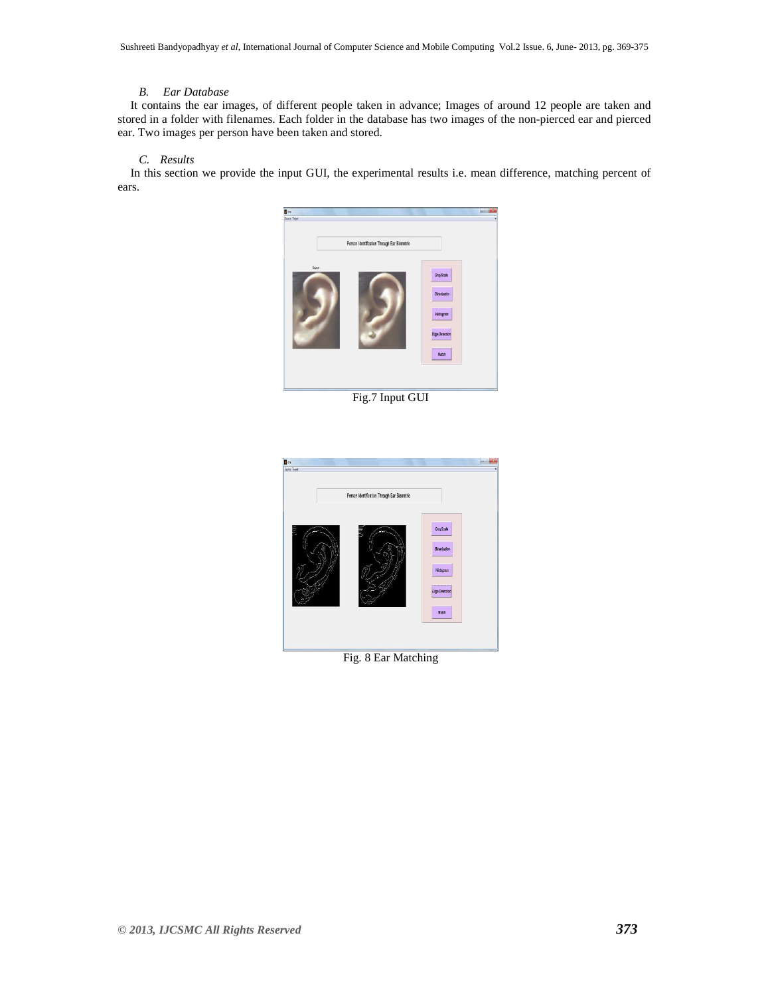# *B. Ear Database*

It contains the ear images, of different people taken in advance; Images of around 12 people are taken and stored in a folder with filenames. Each folder in the database has two images of the non-pierced ear and pierced ear. Two images per person have been taken and stored.

# *C. Results*

In this section we provide the input GUI, the experimental results i.e. mean difference, matching percent of ears.



Fig.7 Input GUI



Fig. 8 Ear Matching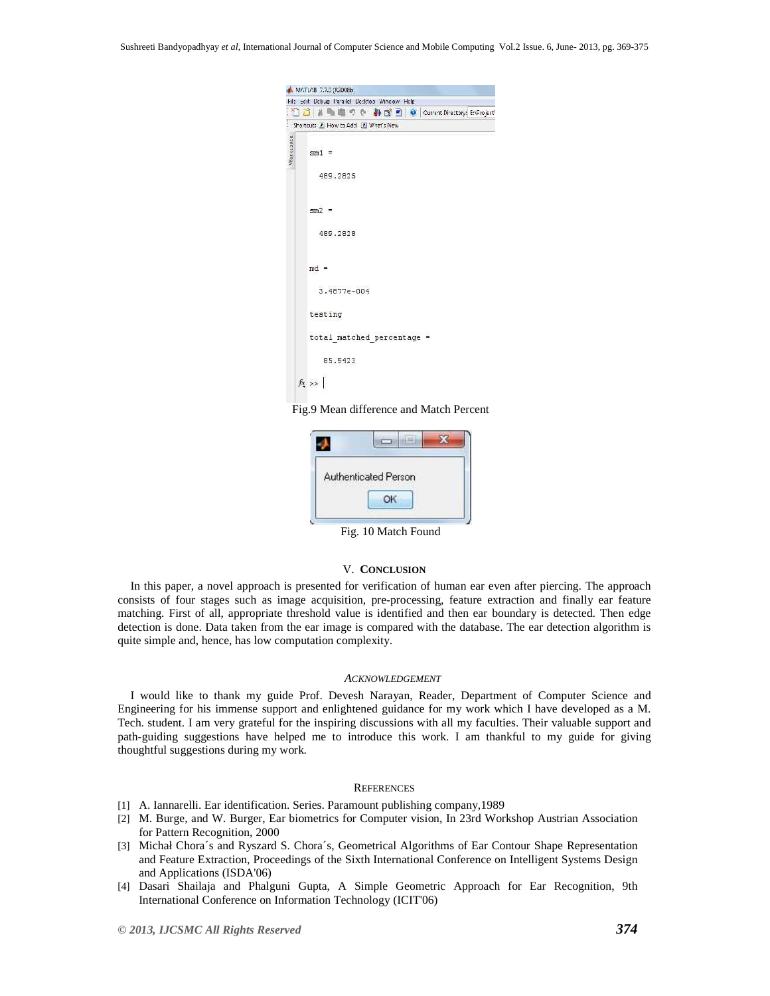|           | File edit Debug Parallel Desktop Window Help      |
|-----------|---------------------------------------------------|
|           | □□ A 略唱の 0 都 B B © Current Directory: E:\Froject\ |
|           | Shortcuts & How to Add M What's New               |
| Workzoace | $sm1 =$                                           |
|           | 489.2825                                          |
|           | $sm2 =$                                           |
|           | 489.2828                                          |
|           | $md =$                                            |
|           | 3.4877e-004                                       |
|           | testing                                           |
|           | total matched percentage =                        |
|           | 85.9423                                           |
|           | $fx \gg$                                          |

Fig.9 Mean difference and Match Percent



Fig. 10 Match Found

# V. **CONCLUSION**

In this paper, a novel approach is presented for verification of human ear even after piercing. The approach consists of four stages such as image acquisition, pre-processing, feature extraction and finally ear feature matching. First of all, appropriate threshold value is identified and then ear boundary is detected. Then edge detection is done. Data taken from the ear image is compared with the database. The ear detection algorithm is quite simple and, hence, has low computation complexity.

#### *ACKNOWLEDGEMENT*

I would like to thank my guide Prof. Devesh Narayan, Reader, Department of Computer Science and Engineering for his immense support and enlightened guidance for my work which I have developed as a M. Tech. student. I am very grateful for the inspiring discussions with all my faculties. Their valuable support and path-guiding suggestions have helped me to introduce this work. I am thankful to my guide for giving thoughtful suggestions during my work.

#### **REFERENCES**

- [1] A. Iannarelli. Ear identification. Series. Paramount publishing company,1989
- [2] M. Burge, and W. Burger, Ear biometrics for Computer vision, In 23rd Workshop Austrian Association for Pattern Recognition, 2000
- [3] Michał Chora´s and Ryszard S. Chora´s, Geometrical Algorithms of Ear Contour Shape Representation and Feature Extraction, Proceedings of the Sixth International Conference on Intelligent Systems Design and Applications (ISDA'06)
- [4] Dasari Shailaja and Phalguni Gupta, A Simple Geometric Approach for Ear Recognition, 9th International Conference on Information Technology (ICIT'06)